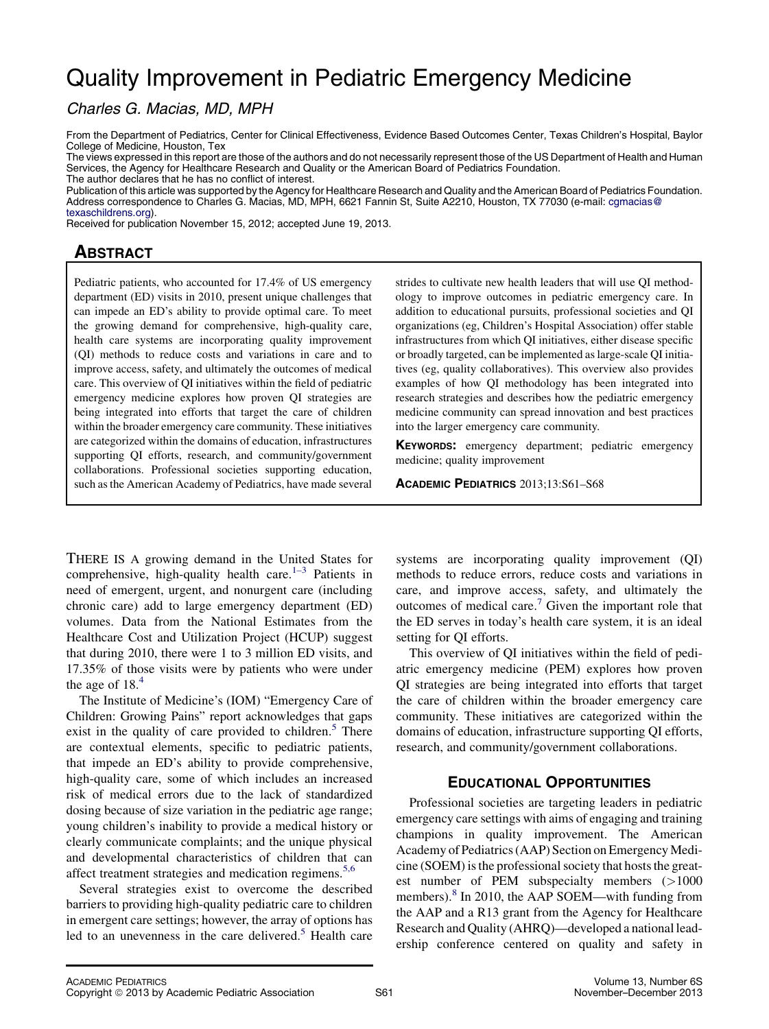# Quality Improvement in Pediatric Emergency Medicine

Charles G. Macias, MD, MPH

From the Department of Pediatrics, Center for Clinical Effectiveness, Evidence Based Outcomes Center, Texas Children's Hospital, Baylor College of Medicine, Houston, Tex

The views expressed in this report are those of the authors and do not necessarily represent those of the US Department of Health and Human Services, the Agency for Healthcare Research and Quality or the American Board of Pediatrics Foundation.

The author declares that he has no conflict of interest. Publication of this article was supported by the Agency for Healthcare Research and Quality and the American Board of Pediatrics Foundation.

Address correspondence to Charles G. Macias, MD, MPH, 6621 Fannin St, Suite A2210, Houston, TX 77030 (e-mail: [cgmacias@](mailto:cgmacias@texaschildrens.org) [texaschildrens.org\)](mailto:cgmacias@texaschildrens.org).

Received for publication November 15, 2012; accepted June 19, 2013.

## **ABSTRACT**

Pediatric patients, who accounted for 17.4% of US emergency department (ED) visits in 2010, present unique challenges that can impede an ED's ability to provide optimal care. To meet the growing demand for comprehensive, high-quality care, health care systems are incorporating quality improvement (QI) methods to reduce costs and variations in care and to improve access, safety, and ultimately the outcomes of medical care. This overview of QI initiatives within the field of pediatric emergency medicine explores how proven QI strategies are being integrated into efforts that target the care of children within the broader emergency care community. These initiatives are categorized within the domains of education, infrastructures supporting QI efforts, research, and community/government collaborations. Professional societies supporting education, such as the American Academy of Pediatrics, have made several strides to cultivate new health leaders that will use QI methodology to improve outcomes in pediatric emergency care. In addition to educational pursuits, professional societies and QI organizations (eg, Children's Hospital Association) offer stable infrastructures from which QI initiatives, either disease specific or broadly targeted, can be implemented as large-scale QI initiatives (eg, quality collaboratives). This overview also provides examples of how QI methodology has been integrated into research strategies and describes how the pediatric emergency medicine community can spread innovation and best practices into the larger emergency care community.

KEYWORDS: emergency department; pediatric emergency medicine; quality improvement

ACADEMIC PEDIATRICS 2013;13:S61–S68

THERE IS A growing demand in the United States for comprehensive, high-quality health care. $1-3$  Patients in need of emergent, urgent, and nonurgent care (including chronic care) add to large emergency department (ED) volumes. Data from the National Estimates from the Healthcare Cost and Utilization Project (HCUP) suggest that during 2010, there were 1 to 3 million ED visits, and 17.35% of those visits were by patients who were under the age of  $18<sup>4</sup>$  $18<sup>4</sup>$  $18<sup>4</sup>$ 

The Institute of Medicine's (IOM) "Emergency Care of Children: Growing Pains" report acknowledges that gaps exist in the quality of care provided to children.<sup>[5](#page-6-0)</sup> There are contextual elements, specific to pediatric patients, that impede an ED's ability to provide comprehensive, high-quality care, some of which includes an increased risk of medical errors due to the lack of standardized dosing because of size variation in the pediatric age range; young children's inability to provide a medical history or clearly communicate complaints; and the unique physical and developmental characteristics of children that can affect treatment strategies and medication regimens.<sup>[5,6](#page-6-0)</sup>

Several strategies exist to overcome the described barriers to providing high-quality pediatric care to children in emergent care settings; however, the array of options has led to an unevenness in the care delivered. $5$  Health care

systems are incorporating quality improvement (QI) methods to reduce errors, reduce costs and variations in care, and improve access, safety, and ultimately the outcomes of medical care.<sup>[7](#page-6-0)</sup> Given the important role that the ED serves in today's health care system, it is an ideal setting for QI efforts.

This overview of QI initiatives within the field of pediatric emergency medicine (PEM) explores how proven QI strategies are being integrated into efforts that target the care of children within the broader emergency care community. These initiatives are categorized within the domains of education, infrastructure supporting QI efforts, research, and community/government collaborations.

## EDUCATIONAL OPPORTUNITIES

Professional societies are targeting leaders in pediatric emergency care settings with aims of engaging and training champions in quality improvement. The American Academy of Pediatrics (AAP) Section on Emergency Medicine (SOEM) is the professional society that hosts the greatest number of PEM subspecialty members (>1000 members).<sup>[8](#page-6-0)</sup> In 2010, the AAP SOEM—with funding from the AAP and a R13 grant from the Agency for Healthcare Research and Quality (AHRQ)—developed a national leadership conference centered on quality and safety in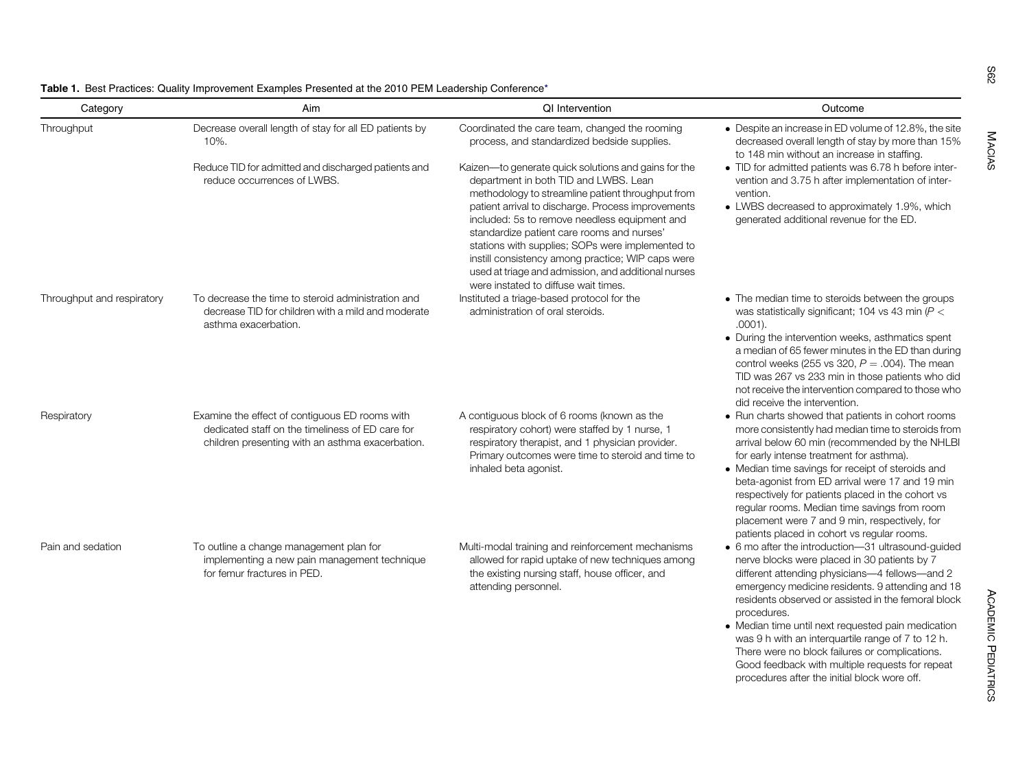| Category                   | Aim                                                                                                                                                    | QI Intervention                                                                                                                                                                                                                                                                                                                                                                                                                                                                                                 | Outcome                                                                                                                                                                                                                                                                                                                                                                                                                                                                                                            |
|----------------------------|--------------------------------------------------------------------------------------------------------------------------------------------------------|-----------------------------------------------------------------------------------------------------------------------------------------------------------------------------------------------------------------------------------------------------------------------------------------------------------------------------------------------------------------------------------------------------------------------------------------------------------------------------------------------------------------|--------------------------------------------------------------------------------------------------------------------------------------------------------------------------------------------------------------------------------------------------------------------------------------------------------------------------------------------------------------------------------------------------------------------------------------------------------------------------------------------------------------------|
| Throughput                 | Decrease overall length of stay for all ED patients by<br>10%.                                                                                         | Coordinated the care team, changed the rooming<br>process, and standardized bedside supplies.                                                                                                                                                                                                                                                                                                                                                                                                                   | • Despite an increase in ED volume of 12.8%, the site<br>decreased overall length of stay by more than 15%<br>to 148 min without an increase in staffing.                                                                                                                                                                                                                                                                                                                                                          |
|                            | Reduce TID for admitted and discharged patients and<br>reduce occurrences of LWBS.                                                                     | Kaizen-to generate quick solutions and gains for the<br>department in both TID and LWBS. Lean<br>methodology to streamline patient throughput from<br>patient arrival to discharge. Process improvements<br>included: 5s to remove needless equipment and<br>standardize patient care rooms and nurses'<br>stations with supplies; SOPs were implemented to<br>instill consistency among practice; WIP caps were<br>used at triage and admission, and additional nurses<br>were instated to diffuse wait times. | • TID for admitted patients was 6.78 h before inter-<br>vention and 3.75 h after implementation of inter-<br>vention.<br>• LWBS decreased to approximately 1.9%, which<br>generated additional revenue for the ED.                                                                                                                                                                                                                                                                                                 |
| Throughput and respiratory | To decrease the time to steroid administration and<br>decrease TID for children with a mild and moderate<br>asthma exacerbation.                       | Instituted a triage-based protocol for the<br>administration of oral steroids.                                                                                                                                                                                                                                                                                                                                                                                                                                  | • The median time to steroids between the groups<br>was statistically significant; 104 vs 43 min $(P <$<br>$.0001$ ).<br>• During the intervention weeks, asthmatics spent<br>a median of 65 fewer minutes in the ED than during<br>control weeks (255 vs 320, $P = .004$ ). The mean<br>TID was 267 vs 233 min in those patients who did<br>not receive the intervention compared to those who<br>did receive the intervention.                                                                                   |
| Respiratory                | Examine the effect of contiguous ED rooms with<br>dedicated staff on the timeliness of ED care for<br>children presenting with an asthma exacerbation. | A contiguous block of 6 rooms (known as the<br>respiratory cohort) were staffed by 1 nurse, 1<br>respiratory therapist, and 1 physician provider.<br>Primary outcomes were time to steroid and time to<br>inhaled beta agonist.                                                                                                                                                                                                                                                                                 | • Run charts showed that patients in cohort rooms<br>more consistently had median time to steroids from<br>arrival below 60 min (recommended by the NHLBI<br>for early intense treatment for asthma).<br>• Median time savings for receipt of steroids and<br>beta-agonist from ED arrival were 17 and 19 min<br>respectively for patients placed in the cohort vs<br>regular rooms. Median time savings from room<br>placement were 7 and 9 min, respectively, for<br>patients placed in cohort vs regular rooms. |
| Pain and sedation          | To outline a change management plan for<br>implementing a new pain management technique<br>for femur fractures in PED.                                 | Multi-modal training and reinforcement mechanisms<br>allowed for rapid uptake of new techniques among<br>the existing nursing staff, house officer, and<br>attending personnel.                                                                                                                                                                                                                                                                                                                                 | • 6 mo after the introduction-31 ultrasound-guided<br>nerve blocks were placed in 30 patients by 7<br>different attending physicians-4 fellows-and 2<br>emergency medicine residents. 9 attending and 18<br>residents observed or assisted in the femoral block<br>procedures.<br>• Median time until next requested pain medication<br>was 9 h with an interquartile range of 7 to 12 h.<br>There were no block failures or complications.                                                                        |

## <span id="page-1-0"></span>Table 1. Best Practices: Quality Improvement Examples Presented at the 2010 PEM Leadership Conference\*

MACIAS

ACADEMIC **PEDIATRICS** 

Good feedback with multiple requests for repeat procedures after the initial block wore off.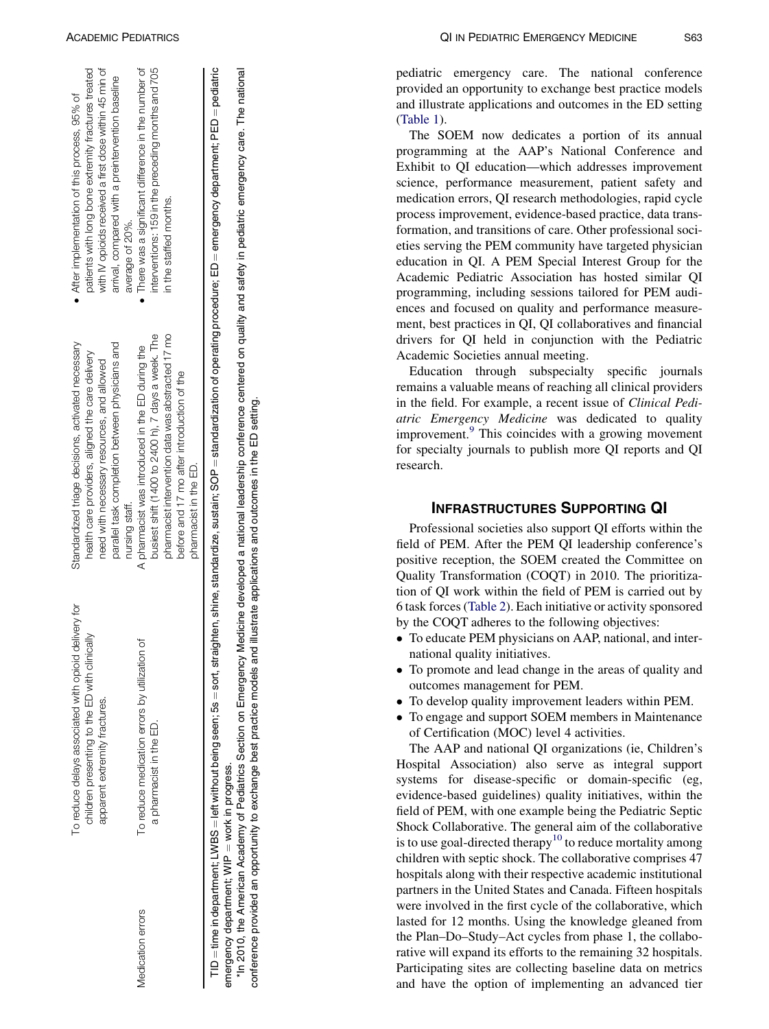|                                               | delivery for<br>children presenting to the ED with clinically<br>To reduce delays associated with opioid<br>apparent extremity fractures. | Standardized triage decisions, activated necessary<br>health care providers, aligned the care delivery<br>need with necessary resources, and allowed                                                         | with IV opioids received a first dose within 45 min of<br>patients with long bone extremity fractures treated<br>• After implementation of this process, 95% of |
|-----------------------------------------------|-------------------------------------------------------------------------------------------------------------------------------------------|--------------------------------------------------------------------------------------------------------------------------------------------------------------------------------------------------------------|-----------------------------------------------------------------------------------------------------------------------------------------------------------------|
|                                               |                                                                                                                                           | parallel task completion between physicians and<br>nursing staff.                                                                                                                                            | arrival, compared with a preintervention baseline<br>average of 20%.                                                                                            |
| <b>Vedication</b> errors                      | To reduce medication errors by utilization                                                                                                | A pharmacist was introduced in the ED during the                                                                                                                                                             | • There was a significant difference in the number of                                                                                                           |
|                                               | a pharmacist in the ED.                                                                                                                   | busiest shift (1400 to 2400 h), 7 days a week. The                                                                                                                                                           | interventions: 159 in the preceding months and 705                                                                                                              |
|                                               |                                                                                                                                           | pharmacist intervention data was abstracted 17 mo                                                                                                                                                            | in the staffed months.                                                                                                                                          |
|                                               |                                                                                                                                           | before and 17 mo after introduction of the                                                                                                                                                                   |                                                                                                                                                                 |
|                                               |                                                                                                                                           | pharmacist in the ED.                                                                                                                                                                                        |                                                                                                                                                                 |
| emergency department; WIP = work in progress. |                                                                                                                                           | TID = time in department; LWBS = left without being seen; 5s = sort, straighten, straighten, strandardize, sustain; SOP = standardization of operating procedure; ED = emergency department; PED = pediatric |                                                                                                                                                                 |
|                                               | *In 2010, the American Academy of Pediatrics Section on Emergency I                                                                       | Medicine developed a national leadership conference centered on quality and safety in pediatric emergency care. The national                                                                                 |                                                                                                                                                                 |

conference provided an opportunity to exchange best practice models and illustrate applications and outcomes in the ED setting.

conference provided an opportunity to exchange best practice models and illustrate applications and outcomes in the ED setting.

pediatric emergency care. The national conference provided an opportunity to exchange best practice models and illustrate applications and outcomes in the ED setting ([Table 1](#page-1-0)).

The SOEM now dedicates a portion of its annual programming at the AAP's National Conference and Exhibit to QI education—which addresses improvement science, performance measurement, patient safety and medication errors, QI research methodologies, rapid cycle process improvement, evidence-based practice, data transformation, and transitions of care. Other professional societies serving the PEM community have targeted physician education in QI. A PEM Special Interest Group for the Academic Pediatric Association has hosted similar QI programming, including sessions tailored for PEM audiences and focused on quality and performance measurement, best practices in QI, QI collaboratives and financial drivers for QI held in conjunction with the Pediatric Academic Societies annual meeting.

Education through subspecialty specific journals remains a valuable means of reaching all clinical providers in the field. For example, a recent issue of Clinical Pediatric Emergency Medicine was dedicated to quality improvement. [9](#page-6-0) This coincides with a growing movement for specialty journals to publish more QI reports and QI research.

## INFRASTRUCTURES SUPPORTING QI

Professional societies also support QI efforts within the field of PEM. After the PEM QI leadership conference's positive reception, the SOEM created the Committee on Quality Transformation (COQT) in 2010. The prioritization of QI work within the field of PEM is carried out by 6 task forces [\(Table 2](#page-3-0)). Each initiative or activity sponsored by the COQT adheres to the following objectives:

- To educate PEM physicians on AAP, national, and international quality initiatives.
- To promote and lead change in the areas of quality and outcomes management for PEM.
- To develop quality improvement leaders within PEM.
- To engage and support SOEM members in Maintenance of Certification (MOC) level 4 activities.

The AAP and national QI organizations (ie, Children's Hospital Association) also serve as integral support systems for disease-specific or domain-specific (eg, evidence-based guidelines) quality initiatives, within the field of PEM, with one example being the Pediatric Septic Shock Collaborative. The general aim of the collaborative is to use goal-directed therapy<sup>[10](#page-6-0)</sup> to reduce mortality among children with septic shock. The collaborative comprises 47 hospitals along with their respective academic institutional partners in the United States and Canada. Fifteen hospitals were involved in the first cycle of the collaborative, which lasted for 12 months. Using the knowledge gleaned from the Plan–Do–Study–Act cycles from phase 1, the collaborative will expand its efforts to the remaining 32 hospitals. Participating sites are collecting baseline data on metrics and have the option of implementing an advanced tier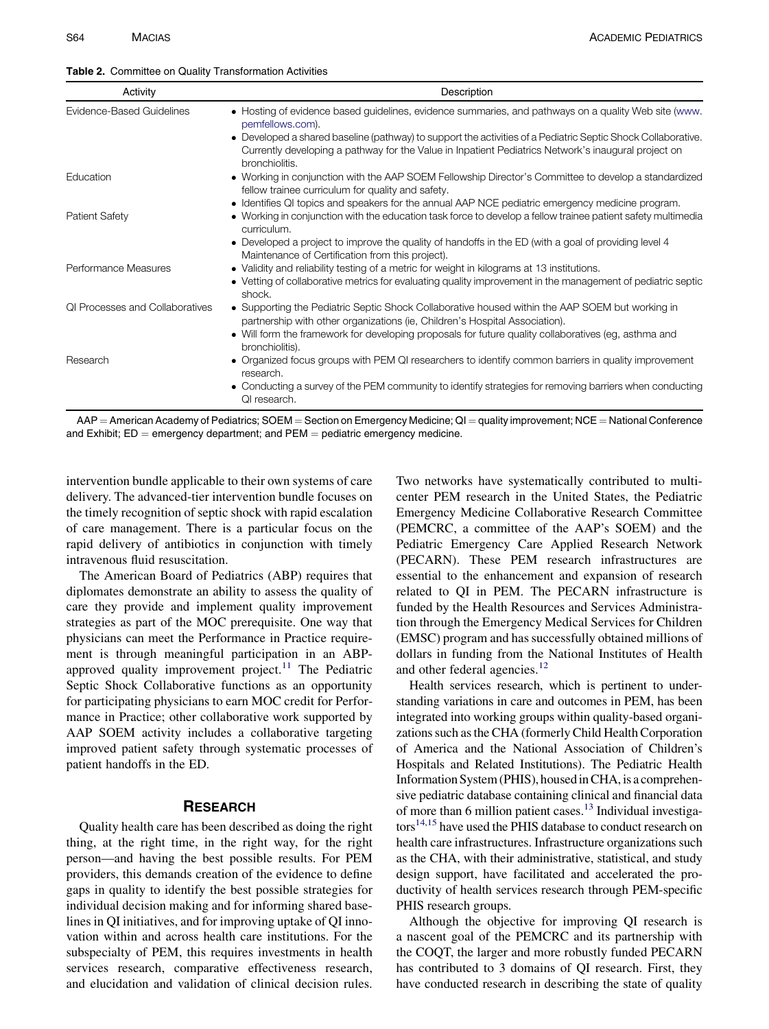<span id="page-3-0"></span>Table 2. Committee on Quality Transformation Activities

| Activity                        | Description                                                                                                                                                                                                                           |
|---------------------------------|---------------------------------------------------------------------------------------------------------------------------------------------------------------------------------------------------------------------------------------|
| Evidence-Based Guidelines       | • Hosting of evidence based guidelines, evidence summaries, and pathways on a quality Web site (www.<br>pemfellows.com).                                                                                                              |
|                                 | • Developed a shared baseline (pathway) to support the activities of a Pediatric Septic Shock Collaborative.<br>Currently developing a pathway for the Value in Inpatient Pediatrics Network's inaugural project on<br>bronchiolitis. |
| Education                       | • Working in conjunction with the AAP SOEM Fellowship Director's Committee to develop a standardized<br>fellow trainee curriculum for quality and safety.                                                                             |
|                                 | • Identifies QI topics and speakers for the annual AAP NCE pediatric emergency medicine program.                                                                                                                                      |
| Patient Safety                  | • Working in conjunction with the education task force to develop a fellow trainee patient safety multimedia<br>curriculum.                                                                                                           |
|                                 | • Developed a project to improve the quality of handoffs in the ED (with a goal of providing level 4<br>Maintenance of Certification from this project).                                                                              |
| Performance Measures            | • Validity and reliability testing of a metric for weight in kilograms at 13 institutions.                                                                                                                                            |
|                                 | • Vetting of collaborative metrics for evaluating quality improvement in the management of pediatric septic<br>shock.                                                                                                                 |
| QI Processes and Collaboratives | • Supporting the Pediatric Septic Shock Collaborative housed within the AAP SOEM but working in<br>partnership with other organizations (ie, Children's Hospital Association).                                                        |
|                                 | • Will form the framework for developing proposals for future quality collaboratives (eg. asthma and<br>bronchiolitis).                                                                                                               |
| Research                        | • Organized focus groups with PEM QI researchers to identify common barriers in quality improvement<br>research.                                                                                                                      |
|                                 | • Conducting a survey of the PEM community to identify strategies for removing barriers when conducting<br>QI research.                                                                                                               |

 $AAP =$  American Academy of Pediatrics; SOEM = Section on Emergency Medicine; QI = quality improvement; NCE = National Conference and Exhibit;  $ED =$  emergency department; and  $PEM =$  pediatric emergency medicine.

intervention bundle applicable to their own systems of care delivery. The advanced-tier intervention bundle focuses on the timely recognition of septic shock with rapid escalation of care management. There is a particular focus on the rapid delivery of antibiotics in conjunction with timely intravenous fluid resuscitation.

The American Board of Pediatrics (ABP) requires that diplomates demonstrate an ability to assess the quality of care they provide and implement quality improvement strategies as part of the MOC prerequisite. One way that physicians can meet the Performance in Practice requirement is through meaningful participation in an ABP-approved quality improvement project.<sup>[11](#page-6-0)</sup> The Pediatric Septic Shock Collaborative functions as an opportunity for participating physicians to earn MOC credit for Performance in Practice; other collaborative work supported by AAP SOEM activity includes a collaborative targeting improved patient safety through systematic processes of patient handoffs in the ED.

## **RESEARCH**

Quality health care has been described as doing the right thing, at the right time, in the right way, for the right person—and having the best possible results. For PEM providers, this demands creation of the evidence to define gaps in quality to identify the best possible strategies for individual decision making and for informing shared baselines in QI initiatives, and for improving uptake of QI innovation within and across health care institutions. For the subspecialty of PEM, this requires investments in health services research, comparative effectiveness research, and elucidation and validation of clinical decision rules.

Two networks have systematically contributed to multicenter PEM research in the United States, the Pediatric Emergency Medicine Collaborative Research Committee (PEMCRC, a committee of the AAP's SOEM) and the Pediatric Emergency Care Applied Research Network (PECARN). These PEM research infrastructures are essential to the enhancement and expansion of research related to QI in PEM. The PECARN infrastructure is funded by the Health Resources and Services Administration through the Emergency Medical Services for Children (EMSC) program and has successfully obtained millions of dollars in funding from the National Institutes of Health and other federal agencies.<sup>[12](#page-6-0)</sup>

Health services research, which is pertinent to understanding variations in care and outcomes in PEM, has been integrated into working groups within quality-based organizations such as the CHA (formerly Child Health Corporation of America and the National Association of Children's Hospitals and Related Institutions). The Pediatric Health Information System (PHIS), housed in CHA, is a comprehensive pediatric database containing clinical and financial data of more than 6 million patient cases. $13$  Individual investigators<sup>14,15</sup> have used the PHIS database to conduct research on health care infrastructures. Infrastructure organizations such as the CHA, with their administrative, statistical, and study design support, have facilitated and accelerated the productivity of health services research through PEM-specific PHIS research groups.

Although the objective for improving QI research is a nascent goal of the PEMCRC and its partnership with the COQT, the larger and more robustly funded PECARN has contributed to 3 domains of QI research. First, they have conducted research in describing the state of quality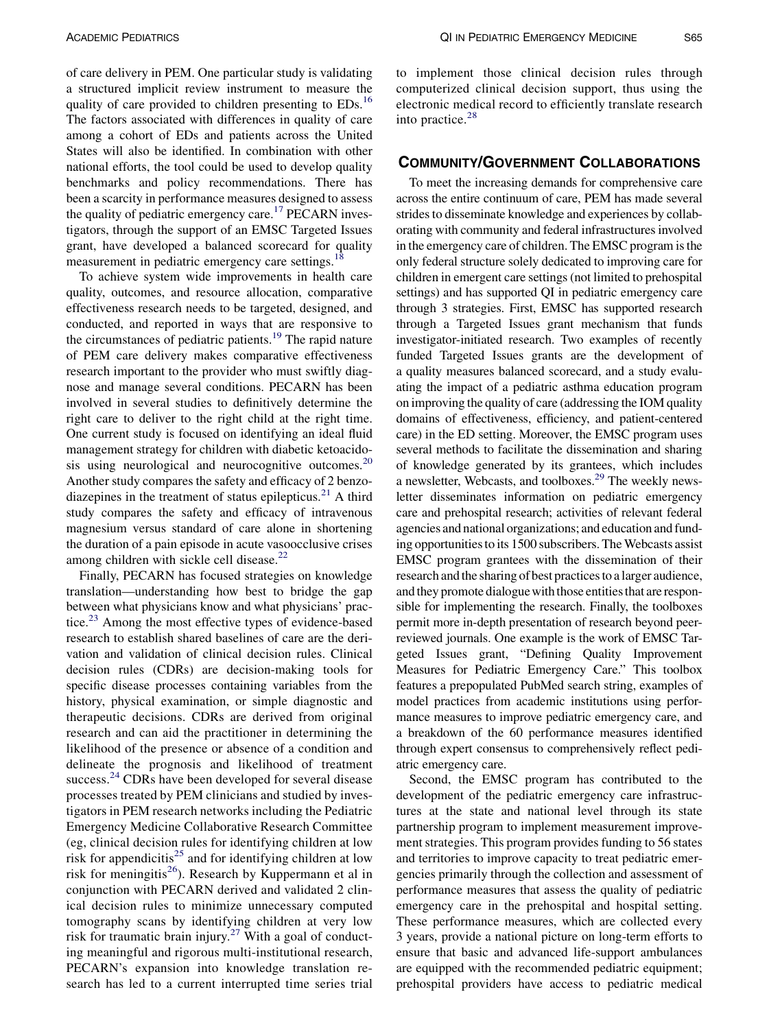of care delivery in PEM. One particular study is validating a structured implicit review instrument to measure the quality of care provided to children presenting to EDs.<sup>[16](#page-7-0)</sup> The factors associated with differences in quality of care among a cohort of EDs and patients across the United States will also be identified. In combination with other national efforts, the tool could be used to develop quality benchmarks and policy recommendations. There has been a scarcity in performance measures designed to assess the quality of pediatric emergency care.<sup>[17](#page-7-0)</sup> PECARN investigators, through the support of an EMSC Targeted Issues grant, have developed a balanced scorecard for quality measurement in pediatric emergency care settings.<sup>[18](#page-7-0)</sup>

To achieve system wide improvements in health care quality, outcomes, and resource allocation, comparative effectiveness research needs to be targeted, designed, and conducted, and reported in ways that are responsive to the circumstances of pediatric patients.<sup>19</sup> The rapid nature of PEM care delivery makes comparative effectiveness research important to the provider who must swiftly diagnose and manage several conditions. PECARN has been involved in several studies to definitively determine the right care to deliver to the right child at the right time. One current study is focused on identifying an ideal fluid management strategy for children with diabetic ketoacidosis using neurological and neurocognitive outcomes. $20$ Another study compares the safety and efficacy of 2 benzo-diazepines in the treatment of status epilepticus.<sup>[21](#page-7-0)</sup> A third study compares the safety and efficacy of intravenous magnesium versus standard of care alone in shortening the duration of a pain episode in acute vasoocclusive crises among children with sickle cell disease.<sup>[22](#page-7-0)</sup>

Finally, PECARN has focused strategies on knowledge translation—understanding how best to bridge the gap between what physicians know and what physicians' prac-tice.<sup>[23](#page-7-0)</sup> Among the most effective types of evidence-based research to establish shared baselines of care are the derivation and validation of clinical decision rules. Clinical decision rules (CDRs) are decision-making tools for specific disease processes containing variables from the history, physical examination, or simple diagnostic and therapeutic decisions. CDRs are derived from original research and can aid the practitioner in determining the likelihood of the presence or absence of a condition and delineate the prognosis and likelihood of treatment success.<sup>[24](#page-7-0)</sup> CDRs have been developed for several disease processes treated by PEM clinicians and studied by investigators in PEM research networks including the Pediatric Emergency Medicine Collaborative Research Committee (eg, clinical decision rules for identifying children at low risk for appendicitis<sup>[25](#page-7-0)</sup> and for identifying children at low risk for meningitis<sup>26</sup>). Research by Kuppermann et al in conjunction with PECARN derived and validated 2 clinical decision rules to minimize unnecessary computed tomography scans by identifying children at very low risk for traumatic brain injury.<sup>[27](#page-7-0)</sup> With a goal of conducting meaningful and rigorous multi-institutional research, PECARN's expansion into knowledge translation research has led to a current interrupted time series trial

to implement those clinical decision rules through computerized clinical decision support, thus using the electronic medical record to efficiently translate research into practice. $28$ 

## COMMUNITY/GOVERNMENT COLLABORATIONS

To meet the increasing demands for comprehensive care across the entire continuum of care, PEM has made several strides to disseminate knowledge and experiences by collaborating with community and federal infrastructures involved in the emergency care of children. The EMSC program is the only federal structure solely dedicated to improving care for children in emergent care settings (not limited to prehospital settings) and has supported QI in pediatric emergency care through 3 strategies. First, EMSC has supported research through a Targeted Issues grant mechanism that funds investigator-initiated research. Two examples of recently funded Targeted Issues grants are the development of a quality measures balanced scorecard, and a study evaluating the impact of a pediatric asthma education program on improving the quality of care (addressing the IOM quality domains of effectiveness, efficiency, and patient-centered care) in the ED setting. Moreover, the EMSC program uses several methods to facilitate the dissemination and sharing of knowledge generated by its grantees, which includes a newsletter, Webcasts, and toolboxes.<sup>[29](#page-7-0)</sup> The weekly newsletter disseminates information on pediatric emergency care and prehospital research; activities of relevant federal agencies and national organizations; and education and funding opportunities to its 1500 subscribers. The Webcasts assist EMSC program grantees with the dissemination of their research and the sharing of best practices to a larger audience, and they promote dialogue with those entities that are responsible for implementing the research. Finally, the toolboxes permit more in-depth presentation of research beyond peerreviewed journals. One example is the work of EMSC Targeted Issues grant, "Defining Quality Improvement Measures for Pediatric Emergency Care." This toolbox features a prepopulated PubMed search string, examples of model practices from academic institutions using performance measures to improve pediatric emergency care, and a breakdown of the 60 performance measures identified through expert consensus to comprehensively reflect pediatric emergency care.

Second, the EMSC program has contributed to the development of the pediatric emergency care infrastructures at the state and national level through its state partnership program to implement measurement improvement strategies. This program provides funding to 56 states and territories to improve capacity to treat pediatric emergencies primarily through the collection and assessment of performance measures that assess the quality of pediatric emergency care in the prehospital and hospital setting. These performance measures, which are collected every 3 years, provide a national picture on long-term efforts to ensure that basic and advanced life-support ambulances are equipped with the recommended pediatric equipment; prehospital providers have access to pediatric medical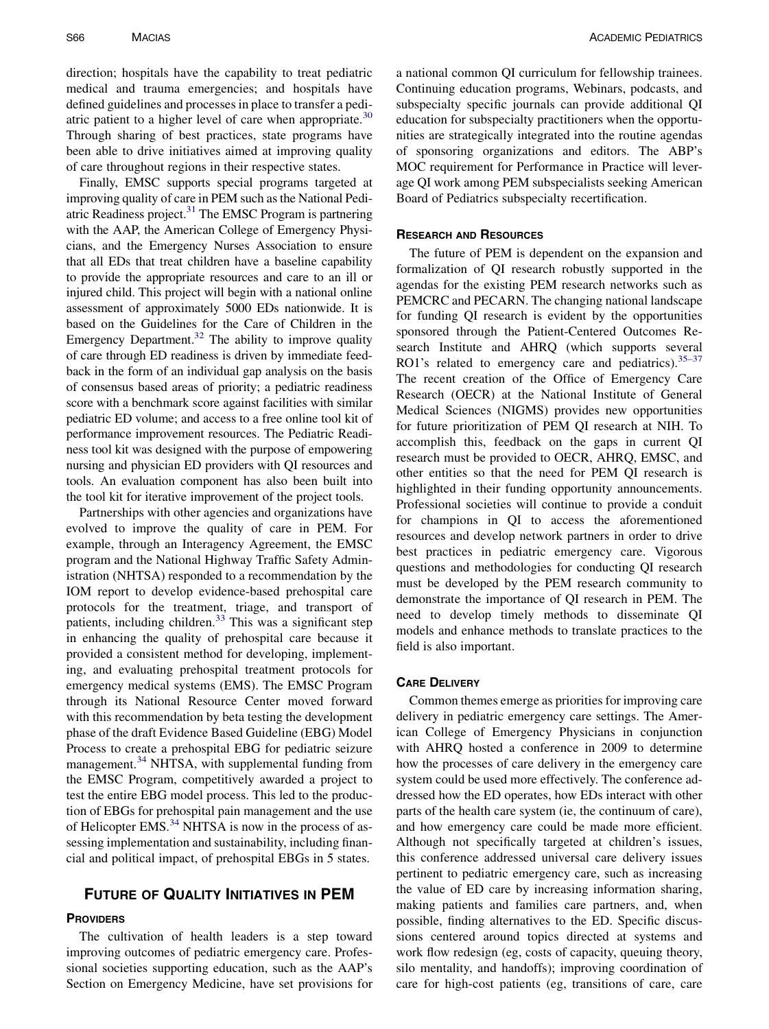direction; hospitals have the capability to treat pediatric medical and trauma emergencies; and hospitals have defined guidelines and processes in place to transfer a pedi-atric patient to a higher level of care when appropriate.<sup>[30](#page-7-0)</sup> Through sharing of best practices, state programs have been able to drive initiatives aimed at improving quality of care throughout regions in their respective states.

Finally, EMSC supports special programs targeted at improving quality of care in PEM such as the National Pediatric Readiness project. $31$  The EMSC Program is partnering with the AAP, the American College of Emergency Physicians, and the Emergency Nurses Association to ensure that all EDs that treat children have a baseline capability to provide the appropriate resources and care to an ill or injured child. This project will begin with a national online assessment of approximately 5000 EDs nationwide. It is based on the Guidelines for the Care of Children in the Emergency Department.<sup>[32](#page-7-0)</sup> The ability to improve quality of care through ED readiness is driven by immediate feedback in the form of an individual gap analysis on the basis of consensus based areas of priority; a pediatric readiness score with a benchmark score against facilities with similar pediatric ED volume; and access to a free online tool kit of performance improvement resources. The Pediatric Readiness tool kit was designed with the purpose of empowering nursing and physician ED providers with QI resources and tools. An evaluation component has also been built into the tool kit for iterative improvement of the project tools.

Partnerships with other agencies and organizations have evolved to improve the quality of care in PEM. For example, through an Interagency Agreement, the EMSC program and the National Highway Traffic Safety Administration (NHTSA) responded to a recommendation by the IOM report to develop evidence-based prehospital care protocols for the treatment, triage, and transport of patients, including children. $33$  This was a significant step in enhancing the quality of prehospital care because it provided a consistent method for developing, implementing, and evaluating prehospital treatment protocols for emergency medical systems (EMS). The EMSC Program through its National Resource Center moved forward with this recommendation by beta testing the development phase of the draft Evidence Based Guideline (EBG) Model Process to create a prehospital EBG for pediatric seizure management.<sup>[34](#page-7-0)</sup> NHTSA, with supplemental funding from the EMSC Program, competitively awarded a project to test the entire EBG model process. This led to the production of EBGs for prehospital pain management and the use of Helicopter EMS.<sup>[34](#page-7-0)</sup> NHTSA is now in the process of assessing implementation and sustainability, including financial and political impact, of prehospital EBGs in 5 states.

## FUTURE OF QUALITY INITIATIVES IN PEM

## **PROVIDERS**

The cultivation of health leaders is a step toward improving outcomes of pediatric emergency care. Professional societies supporting education, such as the AAP's Section on Emergency Medicine, have set provisions for

a national common QI curriculum for fellowship trainees. Continuing education programs, Webinars, podcasts, and subspecialty specific journals can provide additional QI education for subspecialty practitioners when the opportunities are strategically integrated into the routine agendas of sponsoring organizations and editors. The ABP's MOC requirement for Performance in Practice will leverage QI work among PEM subspecialists seeking American Board of Pediatrics subspecialty recertification.

#### RESEARCH AND RESOURCES

The future of PEM is dependent on the expansion and formalization of QI research robustly supported in the agendas for the existing PEM research networks such as PEMCRC and PECARN. The changing national landscape for funding QI research is evident by the opportunities sponsored through the Patient-Centered Outcomes Research Institute and AHRQ (which supports several RO1's related to emergency care and pediatrics).  $35-37$ The recent creation of the Office of Emergency Care Research (OECR) at the National Institute of General Medical Sciences (NIGMS) provides new opportunities for future prioritization of PEM QI research at NIH. To accomplish this, feedback on the gaps in current QI research must be provided to OECR, AHRQ, EMSC, and other entities so that the need for PEM QI research is highlighted in their funding opportunity announcements. Professional societies will continue to provide a conduit for champions in QI to access the aforementioned resources and develop network partners in order to drive best practices in pediatric emergency care. Vigorous questions and methodologies for conducting QI research must be developed by the PEM research community to demonstrate the importance of QI research in PEM. The need to develop timely methods to disseminate QI models and enhance methods to translate practices to the field is also important.

## CARE DELIVERY

Common themes emerge as priorities for improving care delivery in pediatric emergency care settings. The American College of Emergency Physicians in conjunction with AHRQ hosted a conference in 2009 to determine how the processes of care delivery in the emergency care system could be used more effectively. The conference addressed how the ED operates, how EDs interact with other parts of the health care system (ie, the continuum of care), and how emergency care could be made more efficient. Although not specifically targeted at children's issues, this conference addressed universal care delivery issues pertinent to pediatric emergency care, such as increasing the value of ED care by increasing information sharing, making patients and families care partners, and, when possible, finding alternatives to the ED. Specific discussions centered around topics directed at systems and work flow redesign (eg, costs of capacity, queuing theory, silo mentality, and handoffs); improving coordination of care for high-cost patients (eg, transitions of care, care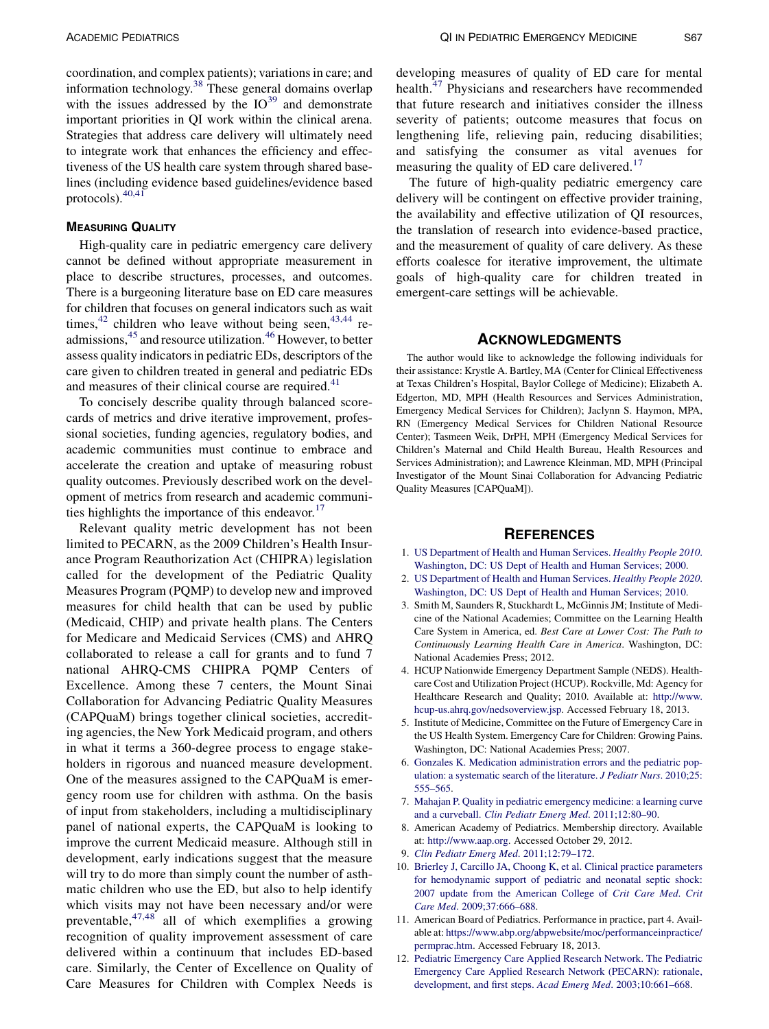#### <span id="page-6-0"></span>MEASURING QUALITY

High-quality care in pediatric emergency care delivery cannot be defined without appropriate measurement in place to describe structures, processes, and outcomes. There is a burgeoning literature base on ED care measures for children that focuses on general indicators such as wait times,<sup>[42](#page-7-0)</sup> children who leave without being seen,<sup>[43,44](#page-7-0)</sup> re-admissions,<sup>[45](#page-7-0)</sup> and resource utilization.<sup>[46](#page-7-0)</sup> However, to better assess quality indicators in pediatric EDs, descriptors of the care given to children treated in general and pediatric EDs and measures of their clinical course are required.<sup>[41](#page-7-0)</sup>

To concisely describe quality through balanced scorecards of metrics and drive iterative improvement, professional societies, funding agencies, regulatory bodies, and academic communities must continue to embrace and accelerate the creation and uptake of measuring robust quality outcomes. Previously described work on the development of metrics from research and academic communities highlights the importance of this endeavor. $17$ 

Relevant quality metric development has not been limited to PECARN, as the 2009 Children's Health Insurance Program Reauthorization Act (CHIPRA) legislation called for the development of the Pediatric Quality Measures Program (PQMP) to develop new and improved measures for child health that can be used by public (Medicaid, CHIP) and private health plans. The Centers for Medicare and Medicaid Services (CMS) and AHRQ collaborated to release a call for grants and to fund 7 national AHRQ-CMS CHIPRA PQMP Centers of Excellence. Among these 7 centers, the Mount Sinai Collaboration for Advancing Pediatric Quality Measures (CAPQuaM) brings together clinical societies, accrediting agencies, the New York Medicaid program, and others in what it terms a 360-degree process to engage stakeholders in rigorous and nuanced measure development. One of the measures assigned to the CAPQuaM is emergency room use for children with asthma. On the basis of input from stakeholders, including a multidisciplinary panel of national experts, the CAPQuaM is looking to improve the current Medicaid measure. Although still in development, early indications suggest that the measure will try to do more than simply count the number of asthmatic children who use the ED, but also to help identify which visits may not have been necessary and/or were preventable,  $47,48$  all of which exemplifies a growing recognition of quality improvement assessment of care delivered within a continuum that includes ED-based care. Similarly, the Center of Excellence on Quality of Care Measures for Children with Complex Needs is

developing measures of quality of ED care for mental health.<sup>[47](#page-7-0)</sup> Physicians and researchers have recommended that future research and initiatives consider the illness severity of patients; outcome measures that focus on lengthening life, relieving pain, reducing disabilities; and satisfying the consumer as vital avenues for measuring the quality of ED care delivered.<sup>[17](#page-7-0)</sup>

The future of high-quality pediatric emergency care delivery will be contingent on effective provider training, the availability and effective utilization of QI resources, the translation of research into evidence-based practice, and the measurement of quality of care delivery. As these efforts coalesce for iterative improvement, the ultimate goals of high-quality care for children treated in emergent-care settings will be achievable.

#### ACKNOWLEDGMENTS

The author would like to acknowledge the following individuals for their assistance: Krystle A. Bartley, MA (Center for Clinical Effectiveness at Texas Children's Hospital, Baylor College of Medicine); Elizabeth A. Edgerton, MD, MPH (Health Resources and Services Administration, Emergency Medical Services for Children); Jaclynn S. Haymon, MPA, RN (Emergency Medical Services for Children National Resource Center); Tasmeen Weik, DrPH, MPH (Emergency Medical Services for Children's Maternal and Child Health Bureau, Health Resources and Services Administration); and Lawrence Kleinman, MD, MPH (Principal Investigator of the Mount Sinai Collaboration for Advancing Pediatric Quality Measures [CAPQuaM]).

## **REFERENCES**

- 1. [US Department of Health and Human Services.](http://refhub.elsevier.com/S1876-2859(13)00189-7/sref1) Healthy People 2010. [Washington, DC: US Dept of Health and Human Services; 2000.](http://refhub.elsevier.com/S1876-2859(13)00189-7/sref1)
- 2. [US Department of Health and Human Services.](http://refhub.elsevier.com/S1876-2859(13)00189-7/sref2) Healthy People 2020. [Washington, DC: US Dept of Health and Human Services; 2010.](http://refhub.elsevier.com/S1876-2859(13)00189-7/sref2)
- 3. Smith M, Saunders R, Stuckhardt L, McGinnis JM; Institute of Medicine of the National Academies; Committee on the Learning Health Care System in America, ed. Best Care at Lower Cost: The Path to Continuously Learning Health Care in America. Washington, DC: National Academies Press; 2012.
- 4. HCUP Nationwide Emergency Department Sample (NEDS). Healthcare Cost and Utilization Project (HCUP). Rockville, Md: Agency for Healthcare Research and Quality; 2010. Available at: [http://www.](http://www.hcup-us.ahrq.gov/nedsoverview.jsp) [hcup-us.ahrq.gov/nedsoverview.jsp](http://www.hcup-us.ahrq.gov/nedsoverview.jsp). Accessed February 18, 2013.
- 5. Institute of Medicine, Committee on the Future of Emergency Care in the US Health System. Emergency Care for Children: Growing Pains. Washington, DC: National Academies Press; 2007.
- 6. [Gonzales K. Medication administration errors and the pediatric pop](http://refhub.elsevier.com/S1876-2859(13)00189-7/sref3)[ulation: a systematic search of the literature.](http://refhub.elsevier.com/S1876-2859(13)00189-7/sref3) J Pediatr Nurs. 2010;25: [555–565.](http://refhub.elsevier.com/S1876-2859(13)00189-7/sref3)
- 7. [Mahajan P. Quality in pediatric emergency medicine: a learning curve](http://refhub.elsevier.com/S1876-2859(13)00189-7/sref4) and a curveball. [Clin Pediatr Emerg Med](http://refhub.elsevier.com/S1876-2859(13)00189-7/sref4). 2011;12:80–90.
- 8. American Academy of Pediatrics. Membership directory. Available at: [http://www.aap.org.](http://www.aap.org) Accessed October 29, 2012.
- 9. [Clin Pediatr Emerg Med](http://refhub.elsevier.com/S1876-2859(13)00189-7/sref5). 2011;12:79–172.
- 10. [Brierley J, Carcillo JA, Choong K, et al. Clinical practice parameters](http://refhub.elsevier.com/S1876-2859(13)00189-7/sref6) [for hemodynamic support of pediatric and neonatal septic shock:](http://refhub.elsevier.com/S1876-2859(13)00189-7/sref6) [2007 update from the American College of](http://refhub.elsevier.com/S1876-2859(13)00189-7/sref6) Crit Care Med. Crit Care Med[. 2009;37:666–688.](http://refhub.elsevier.com/S1876-2859(13)00189-7/sref6)
- 11. American Board of Pediatrics. Performance in practice, part 4. Available at: [https://www.abp.org/abpwebsite/moc/performanceinpractice/](https://www.abp.org/abpwebsite/moc/performanceinpractice/permprac.htm) [permprac.htm.](https://www.abp.org/abpwebsite/moc/performanceinpractice/permprac.htm) Accessed February 18, 2013.
- 12. [Pediatric Emergency Care Applied Research Network. The Pediatric](http://refhub.elsevier.com/S1876-2859(13)00189-7/sref7) [Emergency Care Applied Research Network \(PECARN\): rationale,](http://refhub.elsevier.com/S1876-2859(13)00189-7/sref7) [development, and first steps.](http://refhub.elsevier.com/S1876-2859(13)00189-7/sref7) Acad Emerg Med. 2003;10:661–668.